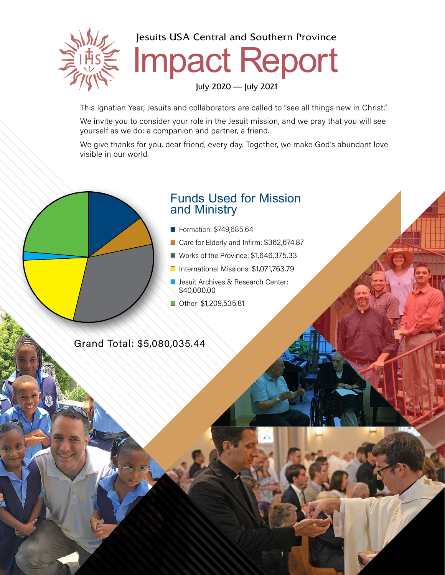

Jesuits USA Central and Southern Province

## Impact Report

July 2020 — July 2021

This Ignatian Year, Jesuits and collaborators are called to "see all things new in Christ."

We invite you to consider your role in the Jesuit mission, and we pray that you will see yourself as we do: a companion and partner, a friend.

We give thanks for you, dear friend, every day. Together, we make God's abundant love visible in our world.

## Funds Used for Mission and Ministry

- **Formation: \$749,685.64**
- Care for Elderly and Infirm: \$362,674.87
- Works of the Province:  $$1,646,375.33$
- $\Box$  International Missions: \$1,071,763,79
- **D** Jesuit Archives & Research Center: \$40,000.00
- **n** Other: \$1,209,535.81

Grand Total: \$5,080,035.44